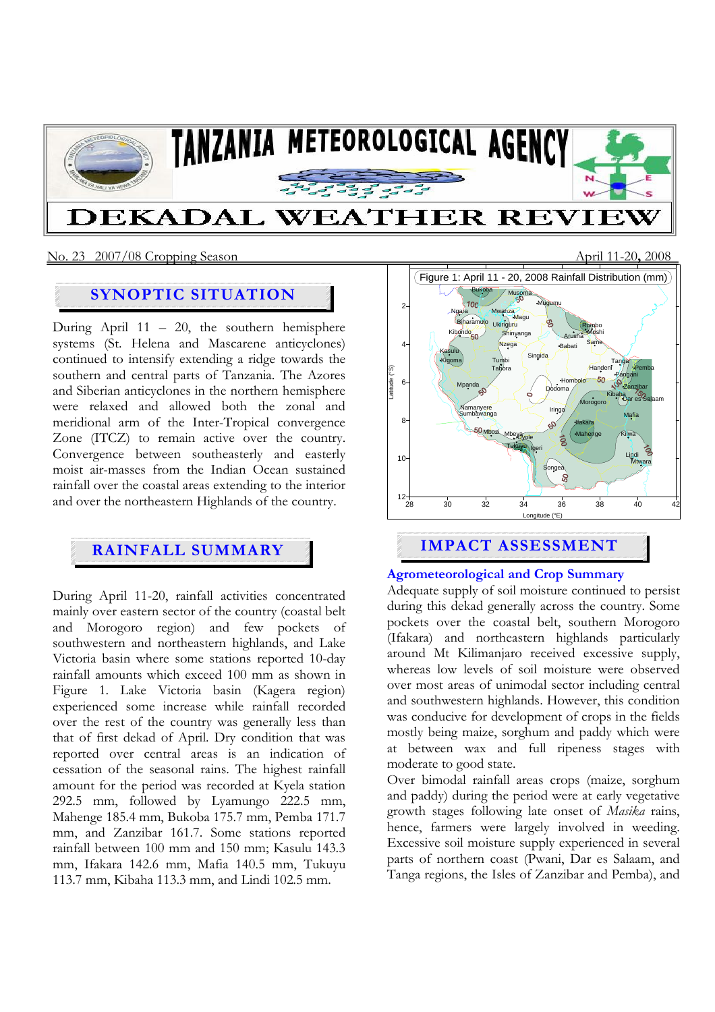

#### No. 23 2007/08 Cropping Season April 11-20**,** 2008

# **SYNOPTIC SITUATION**

During April  $11 - 20$ , the southern hemisphere systems (St. Helena and Mascarene anticyclones) continued to intensify extending a ridge towards the southern and central parts of Tanzania. The Azores and Siberian anticyclones in the northern hemisphere were relaxed and allowed both the zonal and meridional arm of the Inter-Tropical convergence Zone (ITCZ) to remain active over the country. Convergence between southeasterly and easterly moist air-masses from the Indian Ocean sustained rainfall over the coastal areas extending to the interior and over the northeastern Highlands of the country.

During April 11-20, rainfall activities concentrated mainly over eastern sector of the country (coastal belt and Morogoro region) and few pockets of southwestern and northeastern highlands, and Lake Victoria basin where some stations reported 10-day rainfall amounts which exceed 100 mm as shown in Figure 1. Lake Victoria basin (Kagera region) experienced some increase while rainfall recorded over the rest of the country was generally less than that of first dekad of April. Dry condition that was reported over central areas is an indication of cessation of the seasonal rains. The highest rainfall amount for the period was recorded at Kyela station 292.5 mm, followed by Lyamungo 222.5 mm, Mahenge 185.4 mm, Bukoba 175.7 mm, Pemba 171.7 mm, and Zanzibar 161.7. Some stations reported rainfall between 100 mm and 150 mm; Kasulu 143.3 mm, Ifakara 142.6 mm, Mafia 140.5 mm, Tukuyu 113.7 mm, Kibaha 113.3 mm, and Lindi 102.5 mm.



# **Agrometeorological and Crop Summary**

Adequate supply of soil moisture continued to persist during this dekad generally across the country. Some pockets over the coastal belt, southern Morogoro (Ifakara) and northeastern highlands particularly around Mt Kilimanjaro received excessive supply, whereas low levels of soil moisture were observed over most areas of unimodal sector including central and southwestern highlands. However, this condition was conducive for development of crops in the fields mostly being maize, sorghum and paddy which were at between wax and full ripeness stages with moderate to good state.

Over bimodal rainfall areas crops (maize, sorghum and paddy) during the period were at early vegetative growth stages following late onset of *Masika* rains, hence, farmers were largely involved in weeding. Excessive soil moisture supply experienced in several parts of northern coast (Pwani, Dar es Salaam, and Tanga regions, the Isles of Zanzibar and Pemba), and